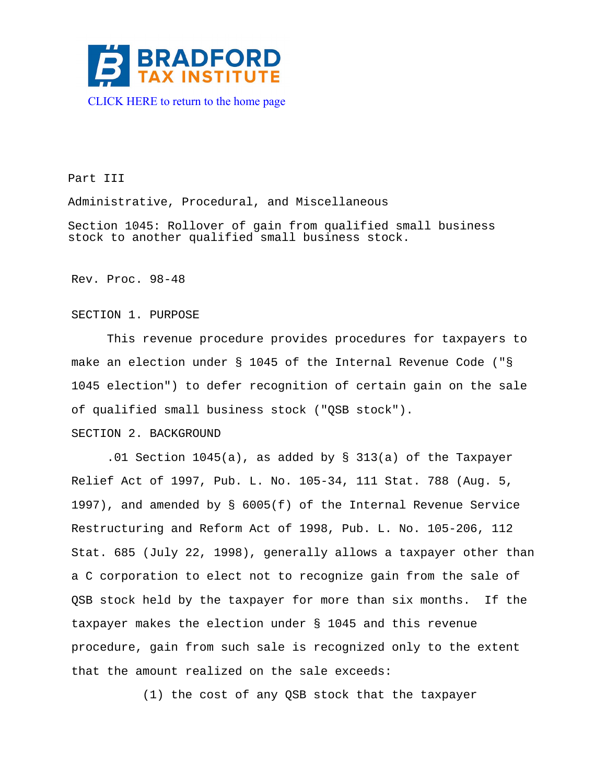

Part III Administrative, Procedural, and Miscellaneous Section 1045: Rollover of gain from qualified small business stock to another qualified small business stock.

Rev. Proc. 98-48

## SECTION 1. PURPOSE

This revenue procedure provides procedures for taxpayers to make an election under § 1045 of the Internal Revenue Code ("§ 1045 election") to defer recognition of certain gain on the sale of qualified small business stock ("QSB stock").

SECTION 2. BACKGROUND

.01 Section 1045(a), as added by § 313(a) of the Taxpayer Relief Act of 1997, Pub. L. No. 105-34, 111 Stat. 788 (Aug. 5, 1997), and amended by § 6005(f) of the Internal Revenue Service Restructuring and Reform Act of 1998, Pub. L. No. 105-206, 112 Stat. 685 (July 22, 1998), generally allows a taxpayer other than a C corporation to elect not to recognize gain from the sale of QSB stock held by the taxpayer for more than six months. If the taxpayer makes the election under § 1045 and this revenue procedure, gain from such sale is recognized only to the extent that the amount realized on the sale exceeds:

(1) the cost of any QSB stock that the taxpayer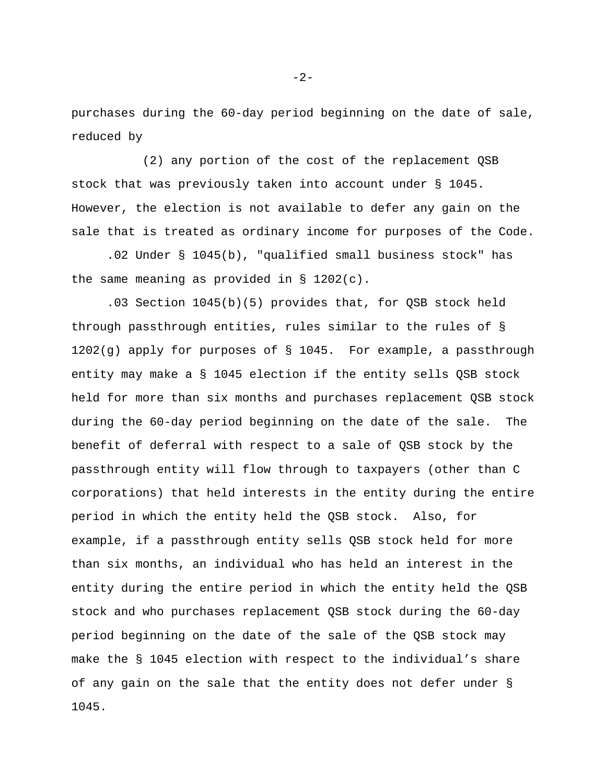purchases during the 60-day period beginning on the date of sale, reduced by

(2) any portion of the cost of the replacement QSB stock that was previously taken into account under § 1045. However, the election is not available to defer any gain on the sale that is treated as ordinary income for purposes of the Code.

.02 Under § 1045(b), "qualified small business stock" has the same meaning as provided in § 1202(c).

.03 Section 1045(b)(5) provides that, for QSB stock held through passthrough entities, rules similar to the rules of § 1202(g) apply for purposes of § 1045. For example, a passthrough entity may make a § 1045 election if the entity sells QSB stock held for more than six months and purchases replacement QSB stock during the 60-day period beginning on the date of the sale. The benefit of deferral with respect to a sale of QSB stock by the passthrough entity will flow through to taxpayers (other than C corporations) that held interests in the entity during the entire period in which the entity held the QSB stock. Also, for example, if a passthrough entity sells QSB stock held for more than six months, an individual who has held an interest in the entity during the entire period in which the entity held the QSB stock and who purchases replacement QSB stock during the 60-day period beginning on the date of the sale of the QSB stock may make the § 1045 election with respect to the individual's share of any gain on the sale that the entity does not defer under § 1045.

-2-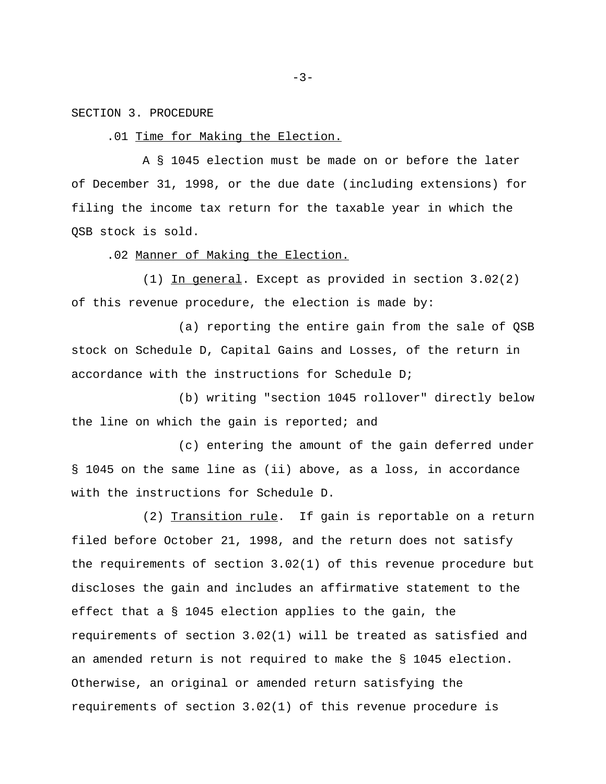SECTION 3. PROCEDURE

.01 Time for Making the Election.

A § 1045 election must be made on or before the later of December 31, 1998, or the due date (including extensions) for filing the income tax return for the taxable year in which the QSB stock is sold.

.02 Manner of Making the Election.

(1) In general. Except as provided in section  $3.02(2)$ of this revenue procedure, the election is made by:

(a) reporting the entire gain from the sale of QSB stock on Schedule D, Capital Gains and Losses, of the return in accordance with the instructions for Schedule D;

(b) writing "section 1045 rollover" directly below the line on which the gain is reported; and

(c) entering the amount of the gain deferred under § 1045 on the same line as (ii) above, as a loss, in accordance with the instructions for Schedule D.

(2) Transition rule. If gain is reportable on a return filed before October 21, 1998, and the return does not satisfy the requirements of section 3.02(1) of this revenue procedure but discloses the gain and includes an affirmative statement to the effect that a § 1045 election applies to the gain, the requirements of section 3.02(1) will be treated as satisfied and an amended return is not required to make the § 1045 election. Otherwise, an original or amended return satisfying the requirements of section 3.02(1) of this revenue procedure is

 $-3-$